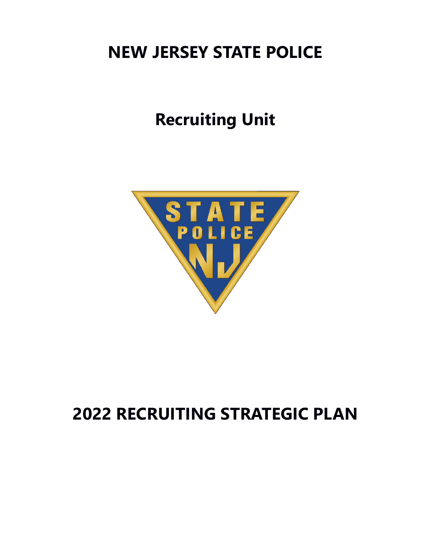## **NEW JERSEY STATE POLICE**

# **Recruiting Unit**



## **2022 RECRUITING STRATEGIC PLAN**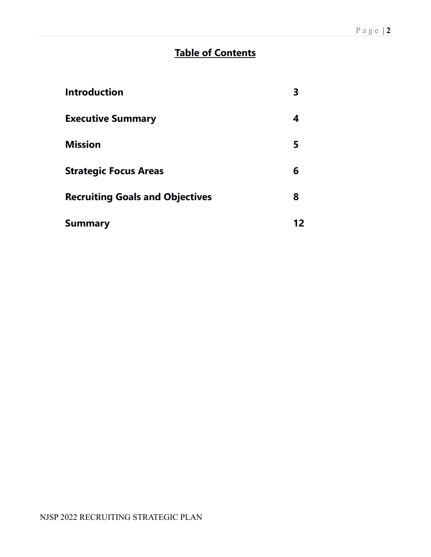## **Table of Contents**

| <b>Introduction</b>                    |    |
|----------------------------------------|----|
| <b>Executive Summary</b>               | 4  |
| <b>Mission</b>                         | 5  |
| <b>Strategic Focus Areas</b>           | 6  |
| <b>Recruiting Goals and Objectives</b> | 8  |
| <b>Summary</b>                         | 12 |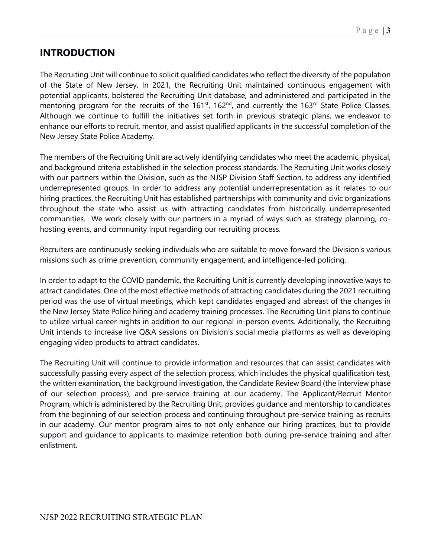## **INTRODUCTION**

The Recruiting Unit will continue to solicit qualified candidates who reflect the diversity of the population of the State of New Jersey. In 2021, the Recruiting Unit maintained continuous engagement with potential applicants, bolstered the Recruiting Unit database, and administered and participated in the mentoring program for the recruits of the 161<sup>st</sup>, 162<sup>nd</sup>, and currently the 163<sup>rd</sup> State Police Classes. Although we continue to fulfill the initiatives set forth in previous strategic plans, we endeavor to enhance our efforts to recruit, mentor, and assist qualified applicants in the successful completion of the New Jersey State Police Academy.

The members of the Recruiting Unit are actively identifying candidates who meet the academic, physical, and background criteria established in the selection process standards. The Recruiting Unit works closely with our partners within the Division, such as the NJSP Division Staff Section, to address any identified underrepresented groups. In order to address any potential underrepresentation as it relates to our hiring practices, the Recruiting Unit has established partnerships with community and civic organizations throughout the state who assist us with attracting candidates from historically underrepresented communities. We work closely with our partners in a myriad of ways such as strategy planning, cohosting events, and community input regarding our recruiting process.

Recruiters are continuously seeking individuals who are suitable to move forward the Division's various missions such as crime prevention, community engagement, and intelligence-led policing.

In order to adapt to the COVID pandemic, the Recruiting Unit is currently developing innovative ways to attract candidates. One of the most effective methods of attracting candidates during the 2021 recruiting period was the use of virtual meetings, which kept candidates engaged and abreast of the changes in the New Jersey State Police hiring and academy training processes. The Recruiting Unit plans to continue to utilize virtual career nights in addition to our regional in-person events. Additionally, the Recruiting Unit intends to increase live Q&A sessions on Division's social media platforms as well as developing engaging video products to attract candidates.

The Recruiting Unit will continue to provide information and resources that can assist candidates with successfully passing every aspect of the selection process, which includes the physical qualification test, the written examination, the background investigation, the Candidate Review Board (the interview phase of our selection process), and pre-service training at our academy. The Applicant/Recruit Mentor Program, which is administered by the Recruiting Unit, provides guidance and mentorship to candidates from the beginning of our selection process and continuing throughout pre-service training as recruits in our academy. Our mentor program aims to not only enhance our hiring practices, but to provide support and guidance to applicants to maximize retention both during pre-service training and after enlistment.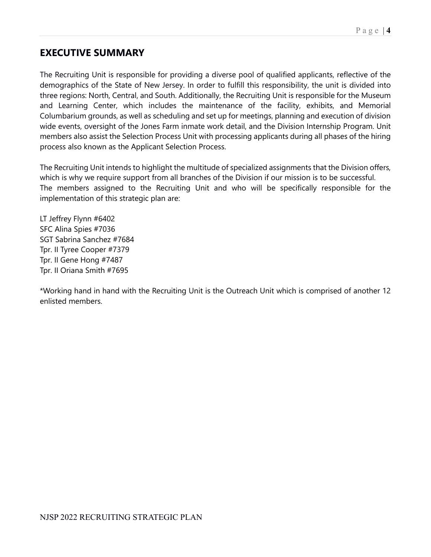### **EXECUTIVE SUMMARY**

The Recruiting Unit is responsible for providing a diverse pool of qualified applicants, reflective of the demographics of the State of New Jersey. In order to fulfill this responsibility, the unit is divided into three regions: North, Central, and South. Additionally, the Recruiting Unit is responsible for the Museum and Learning Center, which includes the maintenance of the facility, exhibits, and Memorial Columbarium grounds, as well as scheduling and set up for meetings, planning and execution of division wide events, oversight of the Jones Farm inmate work detail, and the Division Internship Program. Unit members also assist the Selection Process Unit with processing applicants during all phases of the hiring process also known as the Applicant Selection Process.

The Recruiting Unit intends to highlight the multitude of specialized assignments that the Division offers, which is why we require support from all branches of the Division if our mission is to be successful. The members assigned to the Recruiting Unit and who will be specifically responsible for the implementation of this strategic plan are:

LT Jeffrey Flynn #6402 SFC Alina Spies #7036 SGT Sabrina Sanchez #7684 Tpr. II Tyree Cooper #7379 Tpr. II Gene Hong #7487 Tpr. II Oriana Smith #7695

\*Working hand in hand with the Recruiting Unit is the Outreach Unit which is comprised of another 12 enlisted members.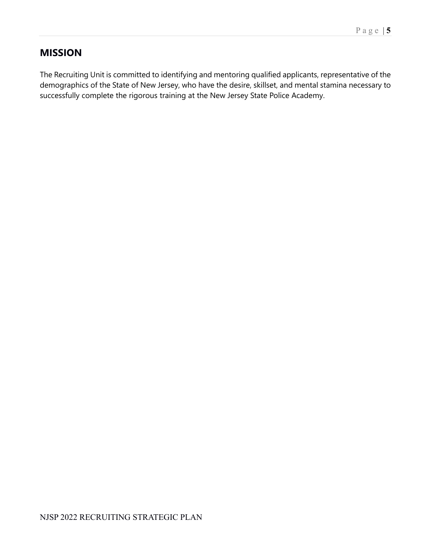## **MISSION**

The Recruiting Unit is committed to identifying and mentoring qualified applicants, representative of the demographics of the State of New Jersey, who have the desire, skillset, and mental stamina necessary to successfully complete the rigorous training at the New Jersey State Police Academy.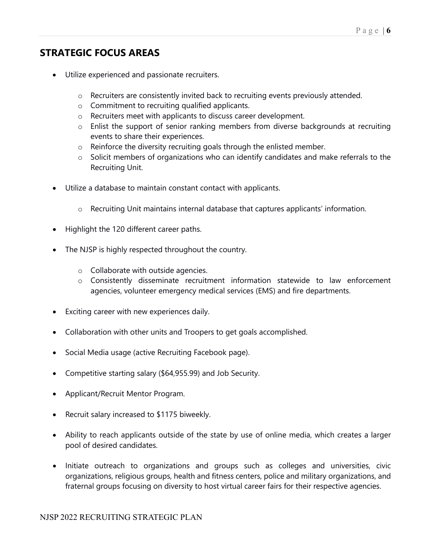## **STRATEGIC FOCUS AREAS**

- Utilize experienced and passionate recruiters.
	- o Recruiters are consistently invited back to recruiting events previously attended.
	- o Commitment to recruiting qualified applicants.
	- o Recruiters meet with applicants to discuss career development.
	- o Enlist the support of senior ranking members from diverse backgrounds at recruiting events to share their experiences.
	- o Reinforce the diversity recruiting goals through the enlisted member.
	- o Solicit members of organizations who can identify candidates and make referrals to the Recruiting Unit.
- Utilize a database to maintain constant contact with applicants.
	- o Recruiting Unit maintains internal database that captures applicants' information.
- Highlight the 120 different career paths.
- The NJSP is highly respected throughout the country.
	- o Collaborate with outside agencies.
	- o Consistently disseminate recruitment information statewide to law enforcement agencies, volunteer emergency medical services (EMS) and fire departments.
- Exciting career with new experiences daily.
- Collaboration with other units and Troopers to get goals accomplished.
- Social Media usage (active Recruiting Facebook page).
- Competitive starting salary (\$64,955.99) and Job Security.
- Applicant/Recruit Mentor Program.
- Recruit salary increased to \$1175 biweekly.
- Ability to reach applicants outside of the state by use of online media, which creates a larger pool of desired candidates.
- Initiate outreach to organizations and groups such as colleges and universities, civic organizations, religious groups, health and fitness centers, police and military organizations, and fraternal groups focusing on diversity to host virtual career fairs for their respective agencies.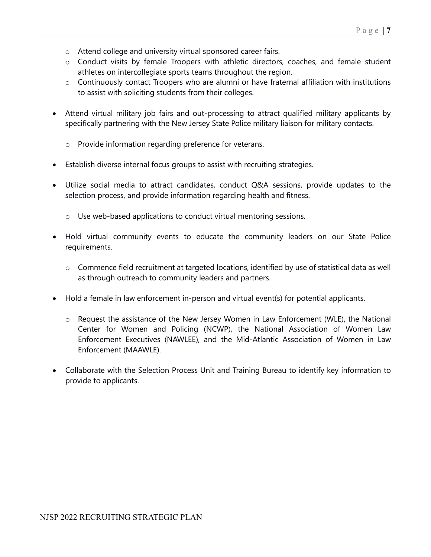- o Attend college and university virtual sponsored career fairs.
- o Conduct visits by female Troopers with athletic directors, coaches, and female student athletes on intercollegiate sports teams throughout the region.
- o Continuously contact Troopers who are alumni or have fraternal affiliation with institutions to assist with soliciting students from their colleges.
- Attend virtual military job fairs and out-processing to attract qualified military applicants by specifically partnering with the New Jersey State Police military liaison for military contacts.
	- o Provide information regarding preference for veterans.
- Establish diverse internal focus groups to assist with recruiting strategies.
- Utilize social media to attract candidates, conduct Q&A sessions, provide updates to the selection process, and provide information regarding health and fitness.
	- o Use web-based applications to conduct virtual mentoring sessions.
- Hold virtual community events to educate the community leaders on our State Police requirements.
	- o Commence field recruitment at targeted locations, identified by use of statistical data as well as through outreach to community leaders and partners.
- Hold a female in law enforcement in-person and virtual event(s) for potential applicants.
	- o Request the assistance of the New Jersey Women in Law Enforcement (WLE), the National Center for Women and Policing (NCWP), the National Association of Women Law Enforcement Executives (NAWLEE), and the Mid-Atlantic Association of Women in Law Enforcement (MAAWLE).
- Collaborate with the Selection Process Unit and Training Bureau to identify key information to provide to applicants.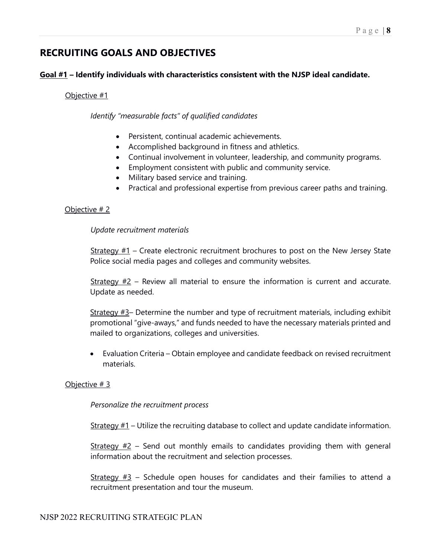## **RECRUITING GOALS AND OBJECTIVES**

#### **Goal #1 – Identify individuals with characteristics consistent with the NJSP ideal candidate.**

#### Objective #1

*Identify "measurable facts" of qualified candidates*

- Persistent, continual academic achievements.
- Accomplished background in fitness and athletics.
- Continual involvement in volunteer, leadership, and community programs.
- Employment consistent with public and community service.
- Military based service and training.
- Practical and professional expertise from previous career paths and training.

#### Objective # 2

#### *Update recruitment materials*

Strategy  $#1$  – Create electronic recruitment brochures to post on the New Jersey State Police social media pages and colleges and community websites.

 $Strategy #2$  – Review all material to ensure the information is current and accurate. Update as needed.

Strategy #3– Determine the number and type of recruitment materials, including exhibit promotional "give-aways," and funds needed to have the necessary materials printed and mailed to organizations, colleges and universities.

• Evaluation Criteria – Obtain employee and candidate feedback on revised recruitment materials.

#### Objective # 3

#### *Personalize the recruitment process*

 $Strategy #1$  – Utilize the recruiting database to collect and update candidate information.

Strategy  $#2$  – Send out monthly emails to candidates providing them with general information about the recruitment and selection processes.

<u>Strategy #3</u> – Schedule open houses for candidates and their families to attend a recruitment presentation and tour the museum.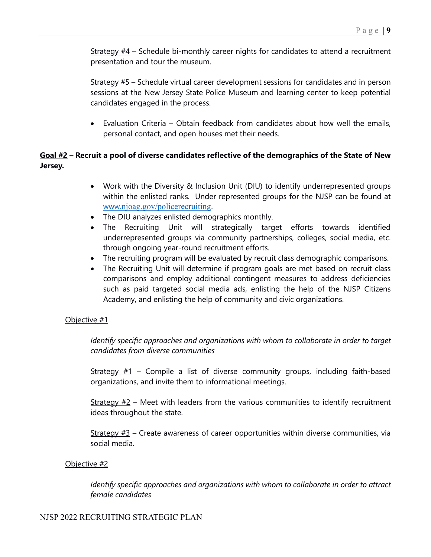Strategy  $#4$  – Schedule bi-monthly career nights for candidates to attend a recruitment presentation and tour the museum.

Strategy #5 – Schedule virtual career development sessions for candidates and in person sessions at the New Jersey State Police Museum and learning center to keep potential candidates engaged in the process.

• Evaluation Criteria – Obtain feedback from candidates about how well the emails, personal contact, and open houses met their needs.

#### **Goal #2 – Recruit a pool of diverse candidates reflective of the demographics of the State of New Jersey.**

- Work with the Diversity & Inclusion Unit (DIU) to identify underrepresented groups within the enlisted ranks. Under represented groups for the NJSP can be found at [www.](http://www.njoag.gov/policerecruiting)[njoag.gov/policerecruiting.](http://www.njoag.gov/policerecruiting)
- The DIU analyzes enlisted demographics monthly.
- The Recruiting Unit will strategically target efforts towards identified underrepresented groups via community partnerships, colleges, social media, etc. through ongoing year-round recruitment efforts.
- The recruiting program will be evaluated by recruit class demographic comparisons.
- The Recruiting Unit will determine if program goals are met based on recruit class comparisons and employ additional contingent measures to address deficiencies such as paid targeted social media ads, enlisting the help of the NJSP Citizens Academy, and enlisting the help of community and civic organizations.

#### Objective #1

*Identify specific approaches and organizations with whom to collaborate in order to target candidates from diverse communities*

Strategy  $#1$  – Compile a list of diverse community groups, including faith-based organizations, and invite them to informational meetings.

Strategy  $#2$  – Meet with leaders from the various communities to identify recruitment ideas throughout the state.

 $Strategy #3 - Create awareness of career opportunities within diverse communities, via$ social media.

#### Objective #2

*Identify specific approaches and organizations with whom to collaborate in order to attract female candidates*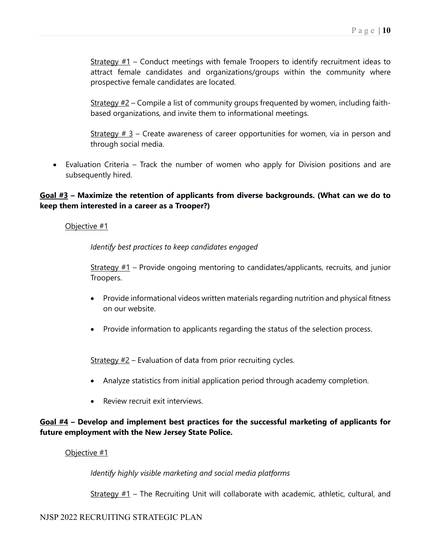Strategy  $#1$  – Conduct meetings with female Troopers to identify recruitment ideas to attract female candidates and organizations/groups within the community where prospective female candidates are located.

Strategy  $#2$  – Compile a list of community groups frequented by women, including faithbased organizations, and invite them to informational meetings.

<u>Strategy  $# 3$ </u> – Create awareness of career opportunities for women, via in person and through social media.

• Evaluation Criteria – Track the number of women who apply for Division positions and are subsequently hired.

#### **Goal #3 – Maximize the retention of applicants from diverse backgrounds. (What can we do to keep them interested in a career as a Trooper?)**

#### Objective #1

*Identify best practices to keep candidates engaged*

Strategy  $#1$  – Provide ongoing mentoring to candidates/applicants, recruits, and junior Troopers.

- Provide informational videos written materials regarding nutrition and physical fitness on our website.
- Provide information to applicants regarding the status of the selection process.

 $Strategy #2$  – Evaluation of data from prior recruiting cycles.

- Analyze statistics from initial application period through academy completion.
- Review recruit exit interviews.

#### **Goal #4 – Develop and implement best practices for the successful marketing of applicants for future employment with the New Jersey State Police.**

#### Objective #1

*Identify highly visible marketing and social media platforms*

Strategy  $#1$  – The Recruiting Unit will collaborate with academic, athletic, cultural, and

#### NJSP 2022 RECRUITING STRATEGIC PLAN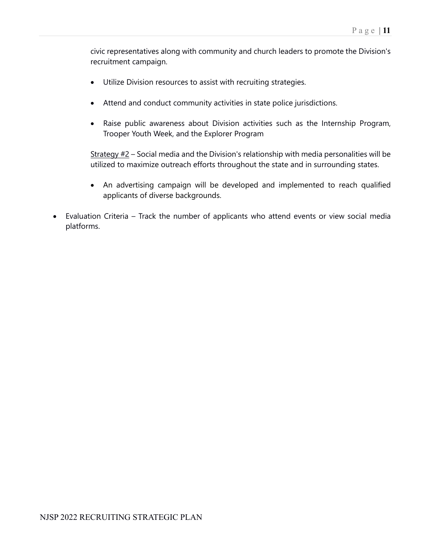civic representatives along with community and church leaders to promote the Division's recruitment campaign.

- Utilize Division resources to assist with recruiting strategies.
- Attend and conduct community activities in state police jurisdictions.
- Raise public awareness about Division activities such as the Internship Program, Trooper Youth Week, and the Explorer Program

Strategy  $#2$  – Social media and the Division's relationship with media personalities will be utilized to maximize outreach efforts throughout the state and in surrounding states.

- An advertising campaign will be developed and implemented to reach qualified applicants of diverse backgrounds.
- Evaluation Criteria Track the number of applicants who attend events or view social media platforms.